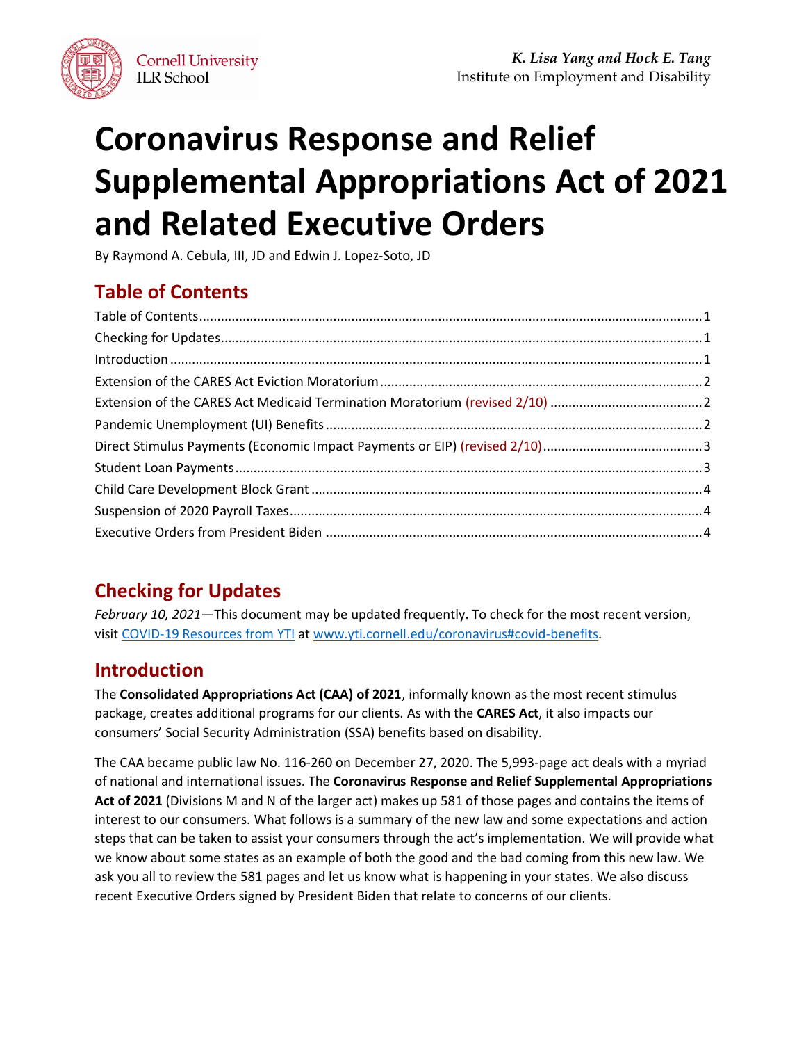

# **Coronavirus Response and Relief Supplemental Appropriations Act of 2021 and Related Executive Orders**

By Raymond A. Cebula, III, JD and Edwin J. Lopez-Soto, JD

# <span id="page-0-0"></span>**Table of Contents**

# <span id="page-0-1"></span>**Checking for Updates**

*February 10, 2021*—This document may be updated frequently. To check for the most recent version, visit [COVID-19 Resources from YTI](http://www.yti.cornell.edu/coronavirus#covid-benefits) at [www.yti.cornell.edu/coronavirus#covid-benefits.](https://www.yti.cornell.edu/coronavirus#covid-benefits)

# <span id="page-0-2"></span>**Introduction**

The **Consolidated Appropriations Act (CAA) of 2021**, informally known as the most recent stimulus package, creates additional programs for our clients. As with the **CARES Act**, it also impacts our consumers' Social Security Administration (SSA) benefits based on disability.

The CAA became public law No. 116-260 on December 27, 2020. The 5,993-page act deals with a myriad of national and international issues. The **Coronavirus Response and Relief Supplemental Appropriations Act of 2021** (Divisions M and N of the larger act) makes up 581 of those pages and contains the items of interest to our consumers. What follows is a summary of the new law and some expectations and action steps that can be taken to assist your consumers through the act's implementation. We will provide what we know about some states as an example of both the good and the bad coming from this new law. We ask you all to review the 581 pages and let us know what is happening in your states. We also discuss recent Executive Orders signed by President Biden that relate to concerns of our clients.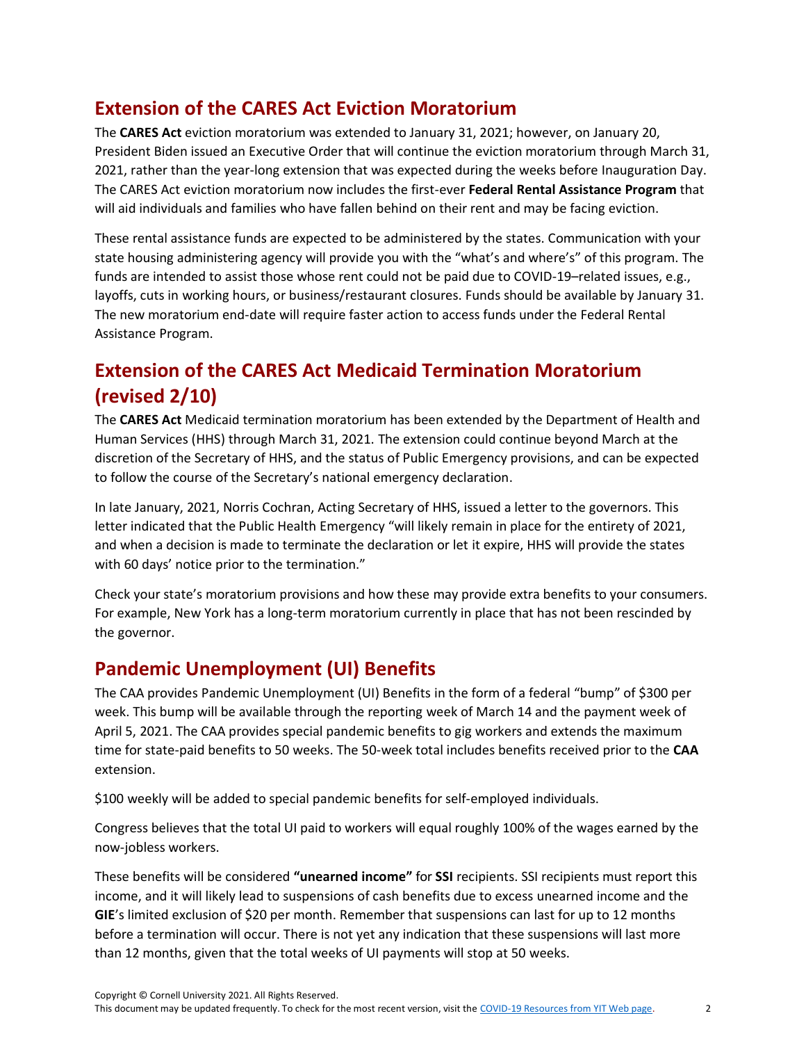## <span id="page-1-0"></span>**Extension of the CARES Act Eviction Moratorium**

The **CARES Act** eviction moratorium was extended to January 31, 2021; however, on January 20, President Biden issued an Executive Order that will continue the eviction moratorium through March 31, 2021, rather than the year-long extension that was expected during the weeks before Inauguration Day. The CARES Act eviction moratorium now includes the first-ever **Federal Rental Assistance Program** that will aid individuals and families who have fallen behind on their rent and may be facing eviction.

These rental assistance funds are expected to be administered by the states. Communication with your state housing administering agency will provide you with the "what's and where's" of this program. The funds are intended to assist those whose rent could not be paid due to COVID-19–related issues, e.g., layoffs, cuts in working hours, or business/restaurant closures. Funds should be available by January 31. The new moratorium end-date will require faster action to access funds under the Federal Rental Assistance Program.

# <span id="page-1-1"></span>**Extension of the CARES Act Medicaid Termination Moratorium (revised 2/10)**

The **CARES Act** Medicaid termination moratorium has been extended by the Department of Health and Human Services (HHS) through March 31, 2021. The extension could continue beyond March at the discretion of the Secretary of HHS, and the status of Public Emergency provisions, and can be expected to follow the course of the Secretary's national emergency declaration.

In late January, 2021, Norris Cochran, Acting Secretary of HHS, issued a letter to the governors. This letter indicated that the Public Health Emergency "will likely remain in place for the entirety of 2021, and when a decision is made to terminate the declaration or let it expire, HHS will provide the states with 60 days' notice prior to the termination."

Check your state's moratorium provisions and how these may provide extra benefits to your consumers. For example, New York has a long-term moratorium currently in place that has not been rescinded by the governor.

## <span id="page-1-2"></span>**Pandemic Unemployment (UI) Benefits**

The CAA provides Pandemic Unemployment (UI) Benefits in the form of a federal "bump" of \$300 per week. This bump will be available through the reporting week of March 14 and the payment week of April 5, 2021. The CAA provides special pandemic benefits to gig workers and extends the maximum time for state-paid benefits to 50 weeks. The 50-week total includes benefits received prior to the **CAA**  extension.

\$100 weekly will be added to special pandemic benefits for self-employed individuals.

Congress believes that the total UI paid to workers will equal roughly 100% of the wages earned by the now-jobless workers.

These benefits will be considered **"unearned income"** for **SSI** recipients. SSI recipients must report this income, and it will likely lead to suspensions of cash benefits due to excess unearned income and the **GIE**'s limited exclusion of \$20 per month. Remember that suspensions can last for up to 12 months before a termination will occur. There is not yet any indication that these suspensions will last more than 12 months, given that the total weeks of UI payments will stop at 50 weeks.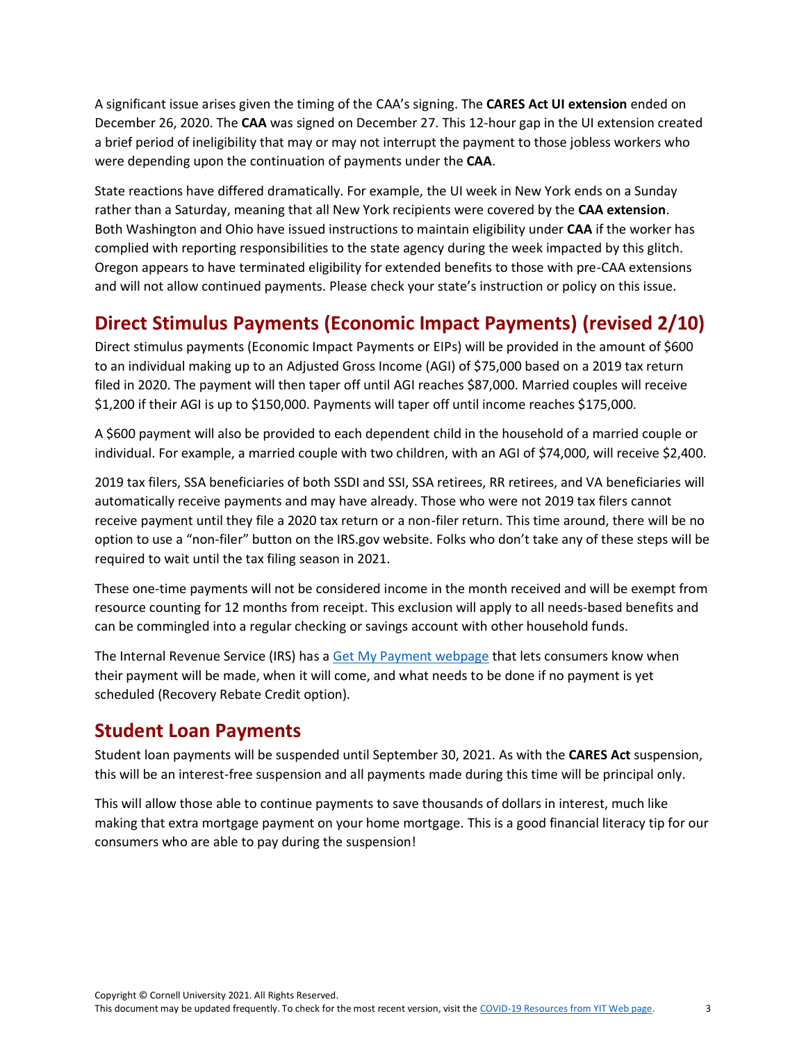A significant issue arises given the timing of the CAA's signing. The **CARES Act UI extension** ended on December 26, 2020. The **CAA** was signed on December 27. This 12-hour gap in the UI extension created a brief period of ineligibility that may or may not interrupt the payment to those jobless workers who were depending upon the continuation of payments under the **CAA**.

State reactions have differed dramatically. For example, the UI week in New York ends on a Sunday rather than a Saturday, meaning that all New York recipients were covered by the **CAA extension**. Both Washington and Ohio have issued instructions to maintain eligibility under **CAA** if the worker has complied with reporting responsibilities to the state agency during the week impacted by this glitch. Oregon appears to have terminated eligibility for extended benefits to those with pre-CAA extensions and will not allow continued payments. Please check your state's instruction or policy on this issue.

# <span id="page-2-0"></span>**Direct Stimulus Payments (Economic Impact Payments) (revised 2/10)**

Direct stimulus payments (Economic Impact Payments or EIPs) will be provided in the amount of \$600 to an individual making up to an Adjusted Gross Income (AGI) of \$75,000 based on a 2019 tax return filed in 2020. The payment will then taper off until AGI reaches \$87,000. Married couples will receive \$1,200 if their AGI is up to \$150,000. Payments will taper off until income reaches \$175,000.

A \$600 payment will also be provided to each dependent child in the household of a married couple or individual. For example, a married couple with two children, with an AGI of \$74,000, will receive \$2,400.

2019 tax filers, SSA beneficiaries of both SSDI and SSI, SSA retirees, RR retirees, and VA beneficiaries will automatically receive payments and may have already. Those who were not 2019 tax filers cannot receive payment until they file a 2020 tax return or a non-filer return. This time around, there will be no option to use a "non-filer" button on the IRS.gov website. Folks who don't take any of these steps will be required to wait until the tax filing season in 2021.

These one-time payments will not be considered income in the month received and will be exempt from resource counting for 12 months from receipt. This exclusion will apply to all needs-based benefits and can be commingled into a regular checking or savings account with other household funds.

The Internal Revenue Service (IRS) has a [Get My Payment webpage](https://www.irs.gov/coronavirus/get-my-payment) that lets consumers know when their payment will be made, when it will come, and what needs to be done if no payment is yet scheduled (Recovery Rebate Credit option).

## <span id="page-2-1"></span>**Student Loan Payments**

Student loan payments will be suspended until September 30, 2021. As with the **CARES Act** suspension, this will be an interest-free suspension and all payments made during this time will be principal only.

This will allow those able to continue payments to save thousands of dollars in interest, much like making that extra mortgage payment on your home mortgage. This is a good financial literacy tip for our consumers who are able to pay during the suspension!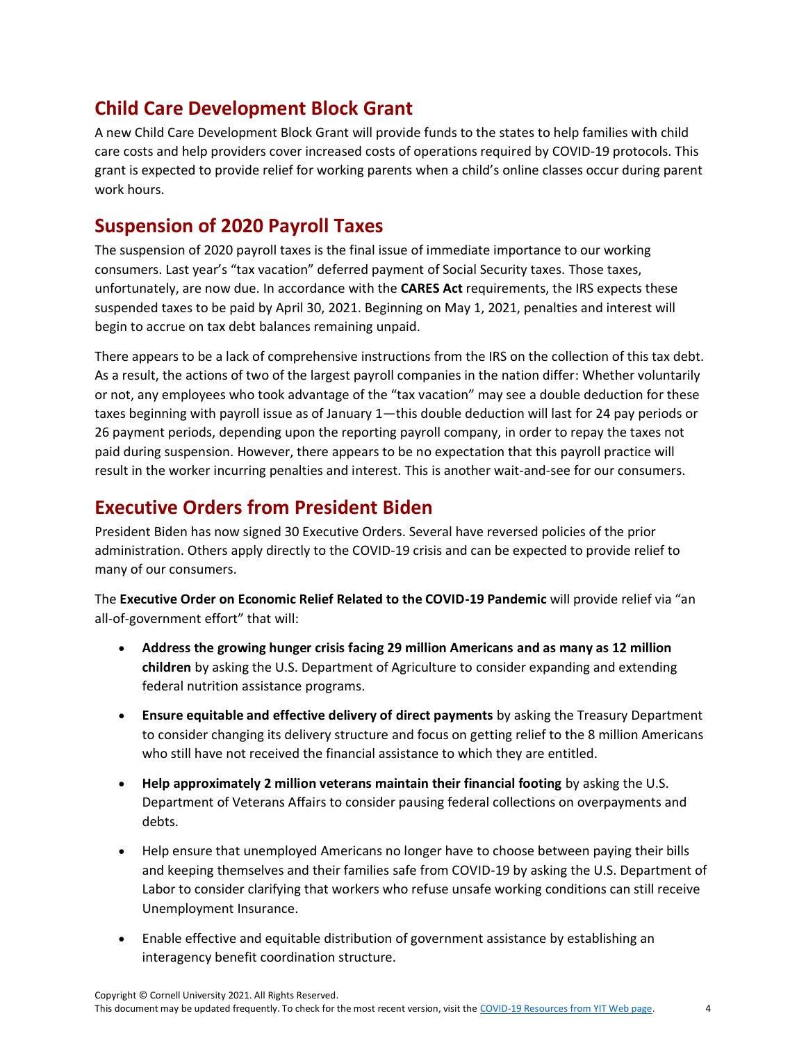## <span id="page-3-0"></span>**Child Care Development Block Grant**

A new Child Care Development Block Grant will provide funds to the states to help families with child care costs and help providers cover increased costs of operations required by COVID-19 protocols. This grant is expected to provide relief for working parents when a child's online classes occur during parent work hours.

#### <span id="page-3-1"></span>**Suspension of 2020 Payroll Taxes**

The suspension of 2020 payroll taxes is the final issue of immediate importance to our working consumers. Last year's "tax vacation" deferred payment of Social Security taxes. Those taxes, unfortunately, are now due. In accordance with the **CARES Act** requirements, the IRS expects these suspended taxes to be paid by April 30, 2021. Beginning on May 1, 2021, penalties and interest will begin to accrue on tax debt balances remaining unpaid.

There appears to be a lack of comprehensive instructions from the IRS on the collection of this tax debt. As a result, the actions of two of the largest payroll companies in the nation differ: Whether voluntarily or not, any employees who took advantage of the "tax vacation" may see a double deduction for these taxes beginning with payroll issue as of January 1—this double deduction will last for 24 pay periods or 26 payment periods, depending upon the reporting payroll company, in order to repay the taxes not paid during suspension. However, there appears to be no expectation that this payroll practice will result in the worker incurring penalties and interest. This is another wait-and-see for our consumers.

## <span id="page-3-2"></span>**Executive Orders from President Biden**

President Biden has now signed 30 Executive Orders. Several have reversed policies of the prior administration. Others apply directly to the COVID-19 crisis and can be expected to provide relief to many of our consumers.

The **Executive Order on Economic Relief Related to the COVID-19 Pandemic** will provide relief via "an all-of-government effort" that will:

- **Address the growing hunger crisis facing 29 million Americans and as many as 12 million children** by asking the U.S. Department of Agriculture to consider expanding and extending federal nutrition assistance programs.
- **Ensure equitable and effective delivery of direct payments** by asking the Treasury Department to consider changing its delivery structure and focus on getting relief to the 8 million Americans who still have not received the financial assistance to which they are entitled.
- **Help approximately 2 million veterans maintain their financial footing** by asking the U.S. Department of Veterans Affairs to consider pausing federal collections on overpayments and debts.
- Help ensure that unemployed Americans no longer have to choose between paying their bills and keeping themselves and their families safe from COVID-19 by asking the U.S. Department of Labor to consider clarifying that workers who refuse unsafe working conditions can still receive Unemployment Insurance.
- Enable effective and equitable distribution of government assistance by establishing an interagency benefit coordination structure.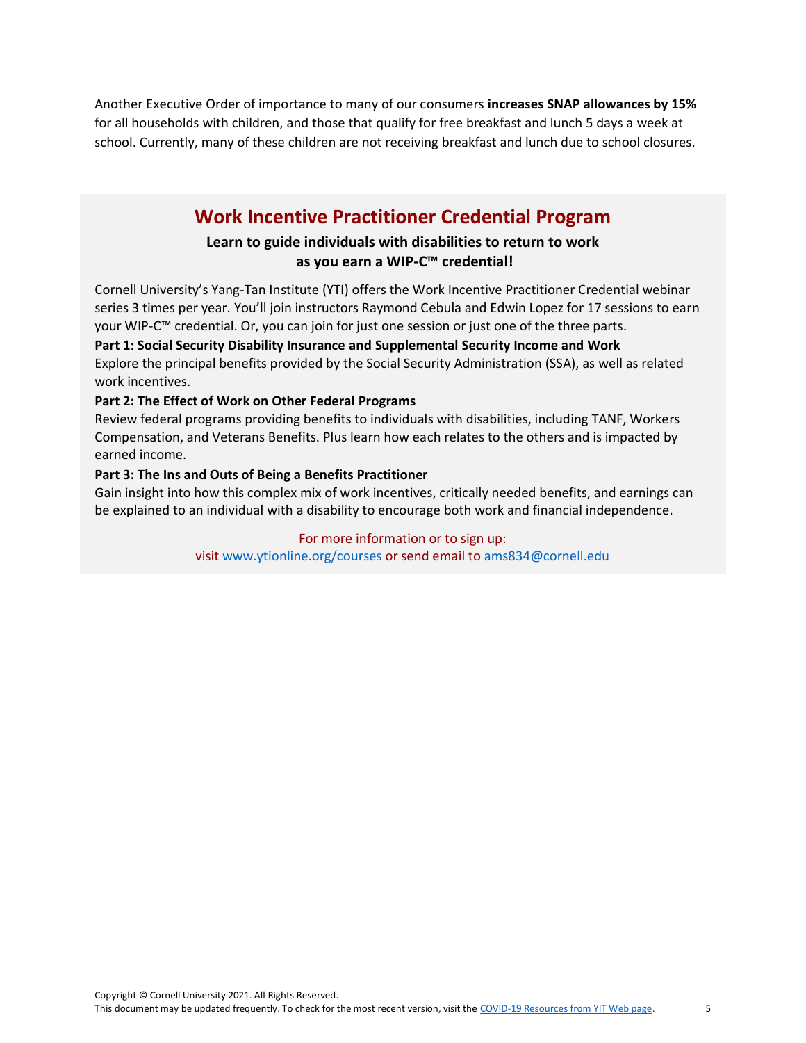Another Executive Order of importance to many of our consumers **increases SNAP allowances by 15%** for all households with children, and those that qualify for free breakfast and lunch 5 days a week at school. Currently, many of these children are not receiving breakfast and lunch due to school closures.

## **Work Incentive Practitioner Credential Program**

#### **Learn to guide individuals with disabilities to return to work as you earn a WIP-C™ credential!**

Cornell University's Yang-Tan Institute (YTI) offers the Work Incentive Practitioner Credential webinar series 3 times per year. You'll join instructors Raymond Cebula and Edwin Lopez for 17 sessions to earn your WIP-C™ credential. Or, you can join for just one session or just one of the three parts.

#### **Part 1: Social Security Disability Insurance and Supplemental Security Income and Work** Explore the principal benefits provided by the Social Security Administration (SSA), as well as related

work incentives.

#### **Part 2: The Effect of Work on Other Federal Programs**

Review federal programs providing benefits to individuals with disabilities, including TANF, Workers Compensation, and Veterans Benefits. Plus learn how each relates to the others and is impacted by earned income.

#### **Part 3: The Ins and Outs of Being a Benefits Practitioner**

Gain insight into how this complex mix of work incentives, critically needed benefits, and earnings can be explained to an individual with a disability to encourage both work and financial independence.

#### For more information or to sign up:

visit [www.ytionline.org/courses](http://www.ytionline.org/courses) or send email to [ams834@cornell.edu](http://ams834@cornell.edu/)